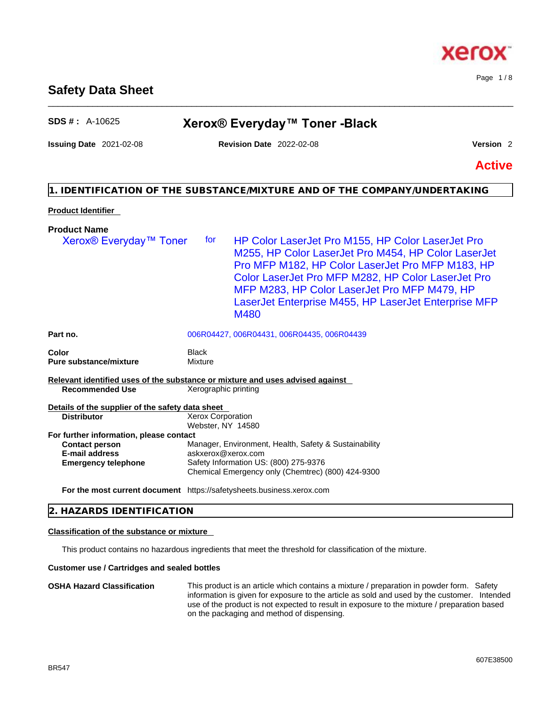# **Safety Data Sheet** \_\_\_\_\_\_\_\_\_\_\_\_\_\_\_\_\_\_\_\_\_\_\_\_\_\_\_\_\_\_\_\_\_\_\_\_\_\_\_\_\_\_\_\_\_\_\_\_\_\_\_\_\_\_\_\_\_\_\_\_\_\_\_\_\_\_\_\_\_\_\_\_\_\_\_\_\_\_\_\_\_\_\_\_\_\_\_\_\_\_\_\_\_\_

# **SDS # :** A-10625 **Xerox® Everyday™ Toner -Black**

# **Issuing Date** 2021-02-08 **Revision Date** 2022-02-08 **Version** 2

**Active**

# **1. IDENTIFICATION OF THE SUBSTANCE/MIXTURE AND OF THE COMPANY/UNDERTAKING**

# **Product Identifier**

| <b>Product Name</b>                              |                                                                                                                                                                                                                                                                                                                                           |
|--------------------------------------------------|-------------------------------------------------------------------------------------------------------------------------------------------------------------------------------------------------------------------------------------------------------------------------------------------------------------------------------------------|
| Xerox <sup>®</sup> Everyday <sup>™</sup> Toner   | HP Color LaserJet Pro M155, HP Color LaserJet Pro<br>tor<br>M255, HP Color LaserJet Pro M454, HP Color LaserJet<br>Pro MFP M182, HP Color LaserJet Pro MFP M183, HP<br>Color LaserJet Pro MFP M282, HP Color LaserJet Pro<br>MFP M283, HP Color LaserJet Pro MFP M479, HP<br>LaserJet Enterprise M455, HP LaserJet Enterprise MFP<br>M480 |
| Part no.                                         | 006R04427, 006R04431, 006R04435, 006R04439                                                                                                                                                                                                                                                                                                |
| Color<br><b>Pure substance/mixture</b>           | <b>Black</b><br><b>Mixture</b>                                                                                                                                                                                                                                                                                                            |
|                                                  | Relevant identified uses of the substance or mixture and uses advised against                                                                                                                                                                                                                                                             |
| <b>Recommended Use</b>                           | Xerographic printing                                                                                                                                                                                                                                                                                                                      |
| Details of the supplier of the safety data sheet |                                                                                                                                                                                                                                                                                                                                           |
| <b>Distributor</b>                               | Xerox Corporation<br>Webster, NY 14580                                                                                                                                                                                                                                                                                                    |
| For further information, please contact          |                                                                                                                                                                                                                                                                                                                                           |
| <b>Contact person</b>                            | Manager, Environment, Health, Safety & Sustainability                                                                                                                                                                                                                                                                                     |
| <b>E-mail address</b>                            | askxerox@xerox.com                                                                                                                                                                                                                                                                                                                        |
| <b>Emergency telephone</b>                       | Safety Information US: (800) 275-9376<br>Chemical Emergency only (Chemtrec) (800) 424-9300                                                                                                                                                                                                                                                |
|                                                  | For the most current document https://safetysheets.business.xerox.com                                                                                                                                                                                                                                                                     |

# **2. HAZARDS IDENTIFICATION**

# **Classification of the substance or mixture**

This product contains no hazardous ingredients that meet the threshold for classification of the mixture.

# **Customer use / Cartridges and sealed bottles**

#### **OSHA Hazard Classification** This product is an article which contains a mixture / preparation in powder form. Safety information is given for exposure to the article as sold and used by the customer. Intended use of the product is not expected to result in exposure to the mixture / preparation based on the packaging and method of dispensing.



Page 1 / 8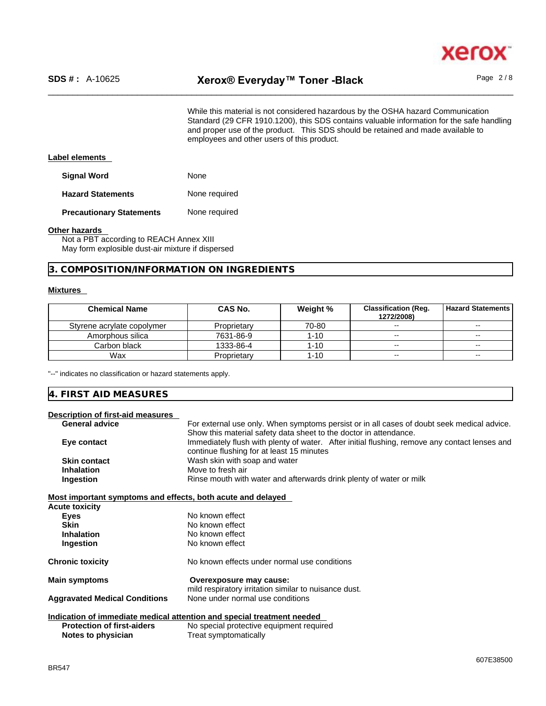

While this material is not considered hazardous by the OSHA hazard Communication Standard (29 CFR 1910.1200), this SDS contains valuable information for the safe handling and proper use of the product. This SDS should be retained and made available to employees and other users of this product.

#### **Label elements**

**Signal Word** None

**Hazard Statements** None required

**Precautionary Statements** None required

#### **Other hazards**

Not a PBT according to REACH Annex XIII May form explosible dust-air mixture if dispersed

#### **3. COMPOSITION/INFORMATION ON INGREDIENTS**

#### **Mixtures**

| <b>Chemical Name</b>       | CAS No.     | Weight % | <b>Classification (Reg.</b><br>1272/2008) | <b>Hazard Statements I</b> |
|----------------------------|-------------|----------|-------------------------------------------|----------------------------|
| Styrene acrylate copolymer | Proprietary | 70-80    | $\sim$                                    | $\overline{\phantom{m}}$   |
| Amorphous silica           | 7631-86-9   | 1-10     | $- -$                                     | $\overline{\phantom{a}}$   |
| Carbon black               | 1333-86-4   | 1-10     | $- -$                                     | $\overline{\phantom{m}}$   |
| Wax                        | Proprietary | 1-10     | $- -$                                     | $\overline{\phantom{m}}$   |

"--" indicates no classification or hazard statements apply.

## **4. FIRST AID MEASURES Description of first-aid measures** General **advice** For external use only. When symptoms persist or in all cases of doubt seek medical advice. Show this material safety data sheet to the doctor in attendance. **Eye contact IMMEDIATELY** Immediately flush with plenty of water. After initial flushing, remove any contact lenses and continue flushing for at least 15 minutes **Skin contact** Wash skin with soap and water<br> **Inhalation** Move to fresh air **Move to fresh air Ingestion Rinse mouth with water and afterwards drink plenty of water or milk Most important symptoms and effects, both acute and delayed Acute toxicity Eyes** No known effect **Skin** No known effect **Inhalation** No known effect **Ingestion** No known effect **Chronic toxicity** No known effects under normal use conditions **Main symptoms Overexposure may cause:**  mild respiratory irritation similar to nuisance dust.<br>None under normal use conditions **Aggravated Medical Conditions Indication of immediate medical attention and special treatment needed Protection of first-aiders** No special protective equipment required **Notes to physician** Treat symptomatically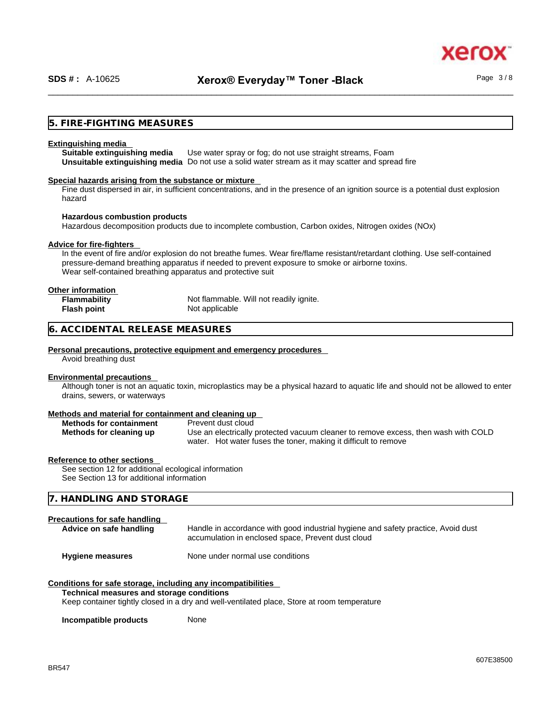xer

#### **5. FIRE-FIGHTING MEASURES**

#### **Extinguishing media**

**Suitable extinguishing media** Use water spray or fog; do not use straight streams, Foam **Unsuitable extinguishing media** Do not use a solid water stream as it may scatterand spread fire

#### **Special hazards arising from the substance or mixture**

Fine dust dispersed in air, in sufficient concentrations, and in the presence of an ignition source is a potential dust explosion hazard

#### **Hazardous combustion products**

Hazardous decomposition products due to incomplete combustion, Carbon oxides, Nitrogen oxides (NOx)

#### **Advice for fire-fighters**

In the event of fire and/or explosion do not breathe fumes. Wear fire/flame resistant/retardant clothing. Use self-contained pressure-demand breathing apparatus if needed to prevent exposure to smoke or airborne toxins. Wear self-contained breathing apparatus and protective suit

| Other information   |                                         |
|---------------------|-----------------------------------------|
| <b>Flammability</b> | Not flammable. Will not readily ignite. |
| <b>Flash point</b>  | Not applicable                          |

#### **6. ACCIDENTAL RELEASE MEASURES**

#### **Personal precautions, protective equipment and emergency procedures**

Avoid breathing dust

#### **Environmental precautions**

Although toner is not an aquatic toxin, microplastics may be a physical hazard to aquatic life and should not be allowed to enter drains, sewers, or waterways

#### **Methods and material for containment and cleaning up**

| <b>Methods for containment</b> | Prevent dust cloud                                                                 |
|--------------------------------|------------------------------------------------------------------------------------|
| Methods for cleaning up        | Use an electrically protected vacuum cleaner to remove excess, then wash with COLD |
|                                | water. Hot water fuses the toner, making it difficult to remove                    |

#### **Reference to other sections**

See section 12 for additional ecological information See Section 13 for additional information

#### **7. HANDLING AND STORAGE**

#### **Precautions for safe handling**

| Advice on safe handling | Handle in accordance with good industrial hygiene and safety practice, Avoid dust |
|-------------------------|-----------------------------------------------------------------------------------|
|                         | accumulation in enclosed space, Prevent dust cloud                                |
|                         |                                                                                   |

**Hygiene measures** None under normal use conditions

#### **Conditions for safe storage, including any incompatibilities**

#### **Technical measures and storage conditions**

Keep container tightly closed in a dry and well-ventilated place, Store at room temperature

**Incompatible products** None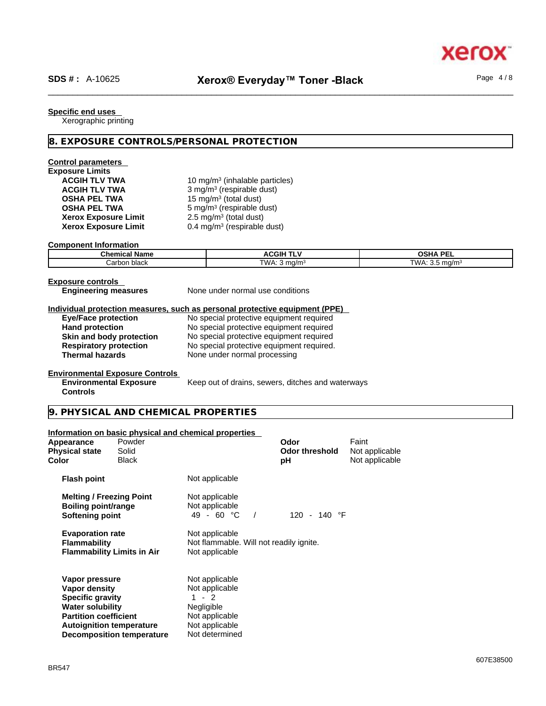Page 4 / 8

#### **Specific end uses**

Xerographic printing

#### **8. EXPOSURE CONTROLS/PERSONAL PROTECTION**

# **Control parameters Exposure Limits Xerox Exposure Limit<br>Xerox Exposure Limit**

ACGIH TLV TWA **10 mg/m<sup>3</sup> (inhalable particles) ACGIH TLV TWA** 3 mg/m<sup>3</sup> (respirable dust) **OSHA PEL TWA** 15 mg/m<sup>3</sup> (total dust) **OSHA PEL TWA** 5 mg/m<sup>3</sup> (respirable dust)  $2.5 \text{ mg/m}^3$  (total dust) **Xerox Exposure Limit** 0.4 mg/m<sup>3</sup> (respirable dust)

#### **Component Information**

| ----------------------------- |                                         |                                      |  |  |  |
|-------------------------------|-----------------------------------------|--------------------------------------|--|--|--|
| <b>Chemical Name</b>          | <b>ACGIH</b><br>.                       | <b>OSHA PF</b><br>--                 |  |  |  |
| Carbon black                  | $T$ $M\Delta$ .<br>, ma/m<br>гүүд. этну | ⊤WA∙<br>ma/m <sup>3</sup><br>$\cdot$ |  |  |  |

#### **Exposure controls**

**Engineering measures** None under normal use conditions

# **Individual protection measures, such as personal protective equipment (PPE)**

**Eye/Face protection** No special protective equipment required **Hand protection** No special protective equipment required **Skin and body protection** No special protective equipment required **Respiratory protection** No special protective equipment required. **Thermal hazards** None under normal processing

Keep out of drains, sewers, ditches and waterways

#### **Environmental Exposure Controls**

**Environmental Exposure Controls** 

# **9. PHYSICAL AND CHEMICAL PROPERTIES**

#### **Information on basic physical and chemical properties**

**Decomposition temperature** Not determined

| Appearance<br><b>Physical state</b><br>Color                                                                                                             | Powder<br>Solid<br><b>Black</b> |                                                                                                      | Odor<br><b>Odor threshold</b><br>рH | Faint<br>Not applicable<br>Not applicable |  |
|----------------------------------------------------------------------------------------------------------------------------------------------------------|---------------------------------|------------------------------------------------------------------------------------------------------|-------------------------------------|-------------------------------------------|--|
| <b>Flash point</b>                                                                                                                                       |                                 | Not applicable                                                                                       |                                     |                                           |  |
| <b>Melting / Freezing Point</b><br>Boiling point/range<br>Softening point                                                                                |                                 | Not applicable<br>Not applicable<br>49 - 60 $^{\circ}$ C                                             | 120 - 140 °F                        |                                           |  |
| <b>Evaporation rate</b><br><b>Flammability</b><br><b>Flammability Limits in Air</b>                                                                      |                                 | Not applicable<br>Not flammable. Will not readily ignite.<br>Not applicable                          |                                     |                                           |  |
| Vapor pressure<br>Vapor density<br><b>Specific gravity</b><br><b>Water solubility</b><br><b>Partition coefficient</b><br><b>Autoignition temperature</b> |                                 | Not applicable<br>Not applicable<br>$1 - 2$<br><b>Negligible</b><br>Not applicable<br>Not applicable |                                     |                                           |  |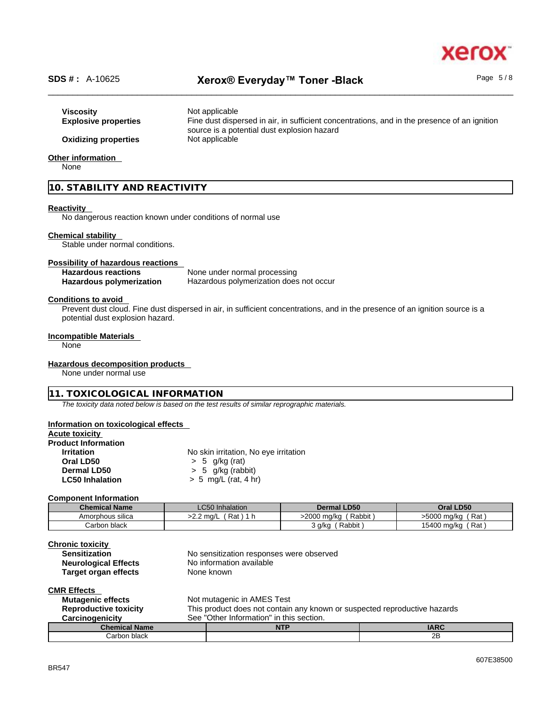# xero

Page 5 / 8

# \_\_\_\_\_\_\_\_\_\_\_\_\_\_\_\_\_\_\_\_\_\_\_\_\_\_\_\_\_\_\_\_\_\_\_\_\_\_\_\_\_\_\_\_\_\_\_\_\_\_\_\_\_\_\_\_\_\_\_\_\_\_\_\_\_\_\_\_\_\_\_\_\_\_\_\_\_\_\_\_\_\_\_\_\_\_\_\_\_\_\_\_\_\_ **SDS # :** A-10625 **Xerox® Everyday™ Toner -Black**

# **Viscosity Not applicable Explosive properties** Fine dust dispersed in air, in sufficient concentrations, and in the presence of an ignition source is a potential dust explosion hazard **Oxidizing properties** Not applicable

#### **Other information**

None

#### **10. STABILITY AND REACTIVITY**

#### **Reactivity**

No dangerous reaction known under conditions of normal use

#### **Chemical stability**

Stable under normal conditions.

#### **Possibility of hazardous reactions**

| <b>Hazardous reactions</b> | None under normal processing            |
|----------------------------|-----------------------------------------|
| Hazardous polymerization   | Hazardous polymerization does not occur |

#### **Conditions to avoid**

Prevent dust cloud. Fine dust dispersed in air, in sufficient concentrations, and in the presence of an ignition source is a potential dust explosion hazard.

#### **Incompatible Materials**

None

#### **Hazardous decomposition products**

None under normal use

#### **11. TOXICOLOGICAL INFORMATION**

*The toxicity data noted below is based on the test results of similar reprographic materials.* 

#### **Information on toxicological effects**

#### **Acute toxicity**

# **Product Information**

**No skin irritation, No eye irritation Oral LD50** > 5 g/kg (rat) **Dermal LD50**  $\rightarrow$  5 g/kg (rabbit)<br> **LC50 Inhalation**  $\rightarrow$  5 mg/L (rat. 4 h **LC50 Inhalation** > 5 mg/L (rat, 4 hr)

#### **Component Information**

| <b>Chemical Name</b> | <b>LC50</b> Inhalation   | <b>Dermal LD50</b>    | Oral LD50            |
|----------------------|--------------------------|-----------------------|----------------------|
| Amorphous silica     | Rat<br>>2.2 ma/L<br>- 11 | >2000 ma/ka<br>Rabbit | Rat<br>>5000 ma/ka   |
| Carbon black         |                          | Rabbit,<br>3 g/kg     | 15400 mg/kg<br>ˈ Rat |

| <b>Chronic toxicity</b>      |                                                                           |
|------------------------------|---------------------------------------------------------------------------|
| <b>Sensitization</b>         | No sensitization responses were observed                                  |
| <b>Neurological Effects</b>  | No information available                                                  |
| Target organ effects         | None known                                                                |
| <b>CMR Effects</b>           |                                                                           |
| <b>Mutagenic effects</b>     | Not mutagenic in AMES Test                                                |
| <b>Reproductive toxicity</b> | This product does not contain any known or suspected reproductive hazards |
| Canalis a maintaine          | Con "Other Information" in this section                                   |

| arcinoqenicity.      | əee<br>Julei<br><b>INDITIATION</b> | III UNS SECUON. |             |
|----------------------|------------------------------------|-----------------|-------------|
| <b>Chemical Name</b> |                                    | <b>NTF</b>      | <b>IADC</b> |
| Carbon black         |                                    |                 | 2Β          |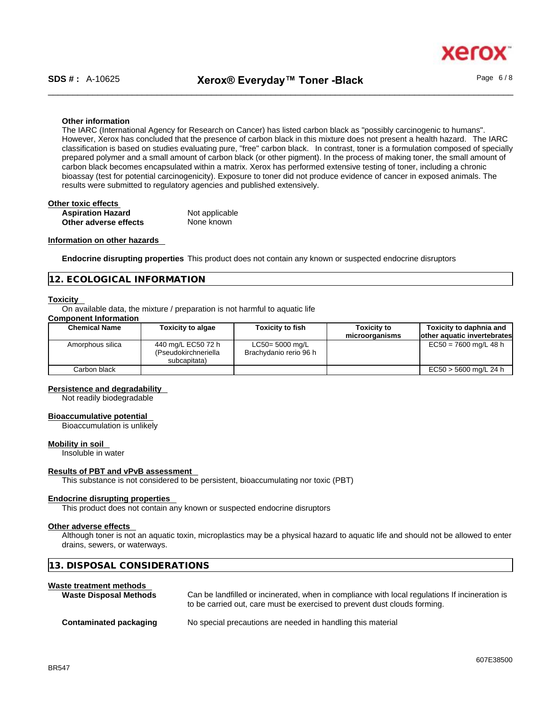xerc

#### **Other information**

The IARC (International Agency for Research on Cancer) has listed carbon black as "possibly carcinogenic to humans". However, Xerox has concluded that the presence of carbon black in this mixture does not present a health hazard. The IARC classification is based on studies evaluating pure, "free" carbon black. In contrast, toner is a formulation composed of specially prepared polymer and a small amount of carbon black (or other pigment). In the process of making toner, the small amount of carbon black becomes encapsulated within a matrix. Xerox has performed extensive testing of toner, including a chronic bioassay (test for potential carcinogenicity). Exposure to toner did not produce evidence of cancer in exposed animals. The results were submitted to regulatory agencies and published extensively.

| Other toxic effects      |                |  |
|--------------------------|----------------|--|
| <b>Aspiration Hazard</b> | Not applicable |  |
| Other adverse effects    | None known     |  |

#### **Information on other hazards**

**Endocrine disrupting properties** This product does not contain any known or suspected endocrine disruptors

#### **12. ECOLOGICAL INFORMATION**

#### **Toxicity**

On available data, the mixture / preparation is not harmful to aquatic life

#### **Component Information**

| <b>Chemical Name</b> | <b>Toxicity to algae</b>                                   | <b>Toxicity to fish</b>                      | <b>Toxicity to</b><br>microorganisms | Toxicity to daphnia and<br>other aquatic invertebrates |
|----------------------|------------------------------------------------------------|----------------------------------------------|--------------------------------------|--------------------------------------------------------|
| Amorphous silica     | 440 mg/L EC50 72 h<br>(Pseudokirchneriella<br>subcapitata) | $LC50 = 5000$ mg/L<br>Brachydanio rerio 96 h |                                      | $EC50 = 7600$ mg/L 48 h                                |
| Carbon black         |                                                            |                                              |                                      | EC50 > 5600 mg/L 24 h                                  |

#### **Persistence and degradability**

Not readily biodegradable

#### **Bioaccumulative potential**

Bioaccumulation is unlikely

#### **Mobility in soil**

Insoluble in water

#### **Results of PBT and vPvB assessment**

This substance is not considered to be persistent, bioaccumulating nor toxic (PBT)

#### **Endocrine disrupting properties**  This product does not contain any known or suspected endocrine disruptors

### **Other adverse effects**

Although toner is not an aquatic toxin, microplastics may be a physical hazard to aquatic life and should not be allowed to enter drains, sewers, or waterways.

#### **13. DISPOSAL CONSIDERATIONS**

#### **Waste treatment methods**

| <b>Waste Disposal Methods</b> | Can be landfilled or incinerated, when in compliance with local regulations If incineration is<br>to be carried out, care must be exercised to prevent dust clouds forming. |
|-------------------------------|-----------------------------------------------------------------------------------------------------------------------------------------------------------------------------|
| Contaminated packaging        | No special precautions are needed in handling this material                                                                                                                 |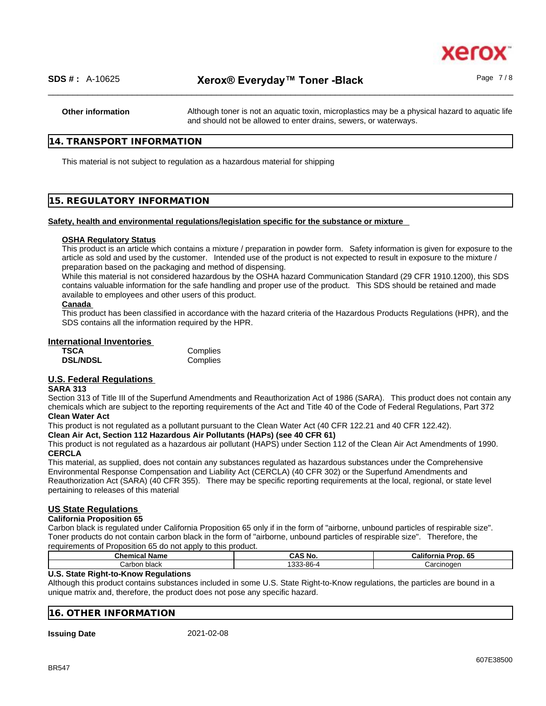

**Other information** Although toner is not an aquatic toxin, microplastics may be a physical hazard to aquatic life and should not be allowed to enter drains, sewers, or waterways.

#### **14. TRANSPORT INFORMATION**

This material is not subject to regulation as a hazardous material for shipping

#### **15. REGULATORY INFORMATION**

#### **Safety, health and environmental regulations/legislation specific for the substance or mixture**

#### **OSHA Regulatory Status**

This product is an article which contains a mixture / preparation in powder form. Safety information is given for exposure to the article as sold and used by the customer. Intended use of the product is not expected to result in exposure to the mixture / preparation based on the packaging and method of dispensing.

While this material is not considered hazardous by the OSHA hazard Communication Standard (29 CFR 1910.1200), this SDS contains valuable information for the safe handling and proper use of the product. This SDS should be retained and made available to employees and other users of this product.

#### **Canada**

This product has been classified in accordance with the hazard criteria of the Hazardous Products Regulations (HPR), and the SDS contains all the information required by the HPR.

#### **International Inventories**

| TSCA            | Complies |
|-----------------|----------|
| <b>DSL/NDSL</b> | Complies |

### **U.S. Federal Regulations**

#### **SARA 313**

Section 313 of Title III of the Superfund Amendments and Reauthorization Act of 1986 (SARA). This product does not contain any chemicals which are subject to the reporting requirements of the Act and Title 40 of the Code of Federal Regulations, Part 372 **Clean Water Act**

This product is not regulated as a pollutant pursuant to the Clean Water Act (40 CFR 122.21 and 40 CFR 122.42).

#### **Clean Air Act,Section 112 Hazardous Air Pollutants (HAPs) (see 40 CFR 61)**

This product is not regulated as a hazardous air pollutant (HAPS) under Section 112 of the Clean Air Act Amendments of 1990. **CERCLA**

This material, as supplied, does not contain any substances regulated as hazardous substances under the Comprehensive Environmental Response Compensation and Liability Act (CERCLA) (40 CFR 302) or the Superfund Amendments and Reauthorization Act (SARA) (40 CFR 355). There may be specific reporting requirements at the local, regional, or state level pertaining to releases of this material

#### **US State Regulations**

#### **California Proposition 65**

Carbon black is regulated under California Proposition 65 only if in the form of "airborne, unbound particles of respirable size". Toner products do not contain carbon black in the form of "airborne, unbound particles of respirable size". Therefore, the requirements of Proposition 65 do not apply to this product.

| _____<br>Chemic<br>∵Name<br>. посл | $\sim$<br>CAS<br>N0. | Californi <sup>-</sup><br>65<br>----<br>60 O |
|------------------------------------|----------------------|----------------------------------------------|
| شcarbon.                           | $\sim$               | Jarcinoden                                   |
| ⊧black                             | $-86-4$              | ar                                           |

#### **U.S. State Right-to-Know Regulations**

Although this product contains substances included in some U.S. State Right-to-Know regulations, the particles are bound in a unique matrix and, therefore, the product does not pose any specific hazard.

#### **16. OTHER INFORMATION**

**Issuing Date** 2021-02-08